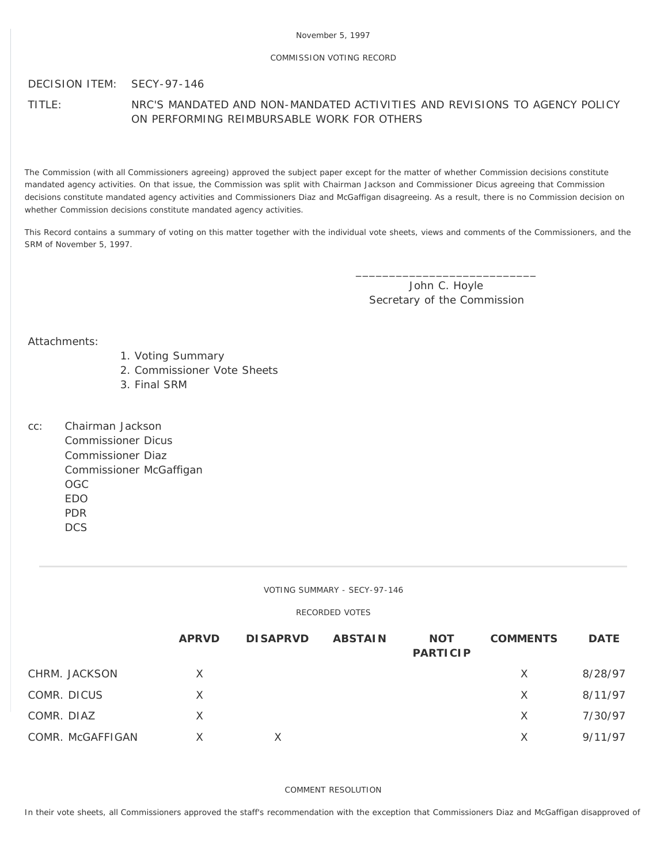## November 5, 1997

## COMMISSION VOTING RECORD

## DECISION ITEM: SECY-97-146

TITLE: NRC'S MANDATED AND NON-MANDATED ACTIVITIES AND REVISIONS TO AGENCY POLICY ON PERFORMING REIMBURSABLE WORK FOR OTHERS

The Commission (with all Commissioners agreeing) approved the subject paper except for the matter of whether Commission decisions constitute mandated agency activities. On that issue, the Commission was split with Chairman Jackson and Commissioner Dicus agreeing that Commission decisions constitute mandated agency activities and Commissioners Diaz and McGaffigan disagreeing. As a result, there is no Commission decision on whether Commission decisions constitute mandated agency activities.

This Record contains a summary of voting on this matter together with the individual vote sheets, views and comments of the Commissioners, and the SRM of November 5, 1997.

> John C. Hoyle Secretary of the Commission

\_\_\_\_\_\_\_\_\_\_\_\_\_\_\_\_\_\_\_\_\_\_\_\_\_\_\_

Attachments:

- 1. Voting Summary
- 2. Commissioner Vote Sheets
- 3. Final SRM
- cc: Chairman Jackson Commissioner Dicus Commissioner Diaz Commissioner McGaffigan OGC EDO PDR **DCS**

VOTING SUMMARY - SECY-97-146

RECORDED VOTES

|                  | <b>APRVD</b> | <b>DISAPRVD</b> | <b>ABSTAIN</b> | <b>NOT</b><br><b>PARTICIP</b> | <b>COMMENTS</b> | <b>DATE</b> |
|------------------|--------------|-----------------|----------------|-------------------------------|-----------------|-------------|
| CHRM. JACKSON    | X            |                 |                |                               | X               | 8/28/97     |
| COMR. DICUS      | $\times$     |                 |                |                               | $\times$        | 8/11/97     |
| COMR. DIAZ       | X            |                 |                |                               | $\times$        | 7/30/97     |
| COMR. McGAFFIGAN | X            |                 |                |                               | X               | 9/11/97     |

## COMMENT RESOLUTION